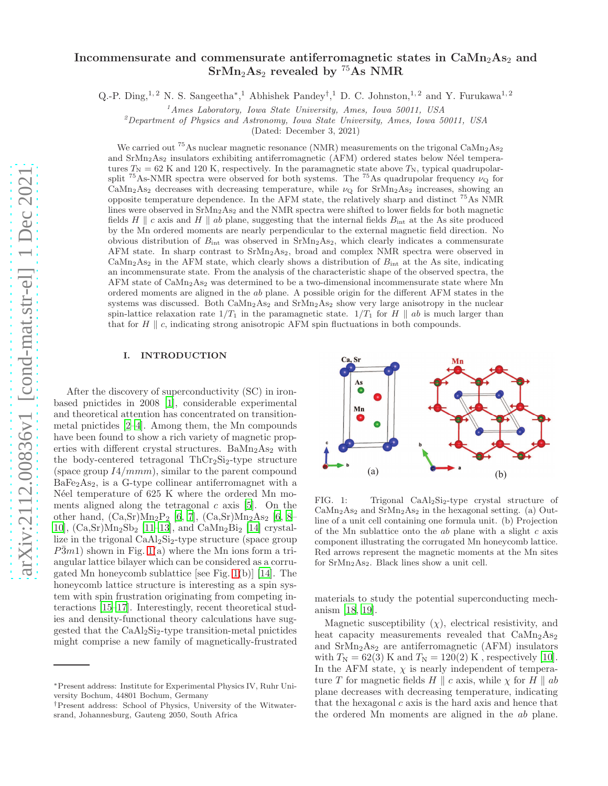# Incommensurate and commensurate antiferromagnetic states in  $\text{CaMn}_2\text{As}_2$  and  $SrMn<sub>2</sub>As<sub>2</sub> revealed by <sup>75</sup>As NMR$

Q.-P. Ding,<sup>1,2</sup> N. S. Sangeetha<sup>\*</sup>,<sup>1</sup> Abhishek Pandey<sup>†</sup>,<sup>1</sup> D. C. Johnston,<sup>1,2</sup> and Y. Furukawa<sup>1,2</sup>

 $<sup>1</sup>$ Ames Laboratory, Iowa State University, Ames, Iowa 50011, USA</sup>

<sup>2</sup>Department of Physics and Astronomy, Iowa State University, Ames, Iowa 50011, USA

(Dated: December 3, 2021)

We carried out <sup>75</sup>As nuclear magnetic resonance (NMR) measurements on the trigonal  $\text{CaMn}_2\text{As}_2$ and  $SrMn<sub>2</sub>As<sub>2</sub>$  insulators exhibiting antiferromagnetic (AFM) ordered states below Néel temperatures  $T_N = 62$  K and 120 K, respectively. In the paramagnetic state above  $T_N$ , typical quadrupolarsplit <sup>75</sup>As-NMR spectra were observed for both systems. The <sup>75</sup>As quadrupolar frequency  $\nu_{\mathbf{Q}}$  for CaMn<sub>2</sub>As<sub>2</sub> decreases with decreasing temperature, while  $\nu_{\mathcal{Q}}$  for SrMn<sub>2</sub>As<sub>2</sub> increases, showing an opposite temperature dependence. In the AFM state, the relatively sharp and distinct  $^{75}$ As NMR lines were observed in  $SrMn<sub>2</sub>As<sub>2</sub>$  and the NMR spectra were shifted to lower fields for both magnetic fields H || c axis and H || ab plane, suggesting that the internal fields  $B_{\text{int}}$  at the As site produced by the Mn ordered moments are nearly perpendicular to the external magnetic field direction. No obvious distribution of  $B_{\text{int}}$  was observed in SrMn<sub>2</sub>As<sub>2</sub>, which clearly indicates a commensurate AFM state. In sharp contrast to SrMn2As2, broad and complex NMR spectra were observed in  $\text{CaMn}_2\text{As}_2$  in the AFM state, which clearly shows a distribution of  $B_{\text{int}}$  at the As site, indicating an incommensurate state. From the analysis of the characteristic shape of the observed spectra, the AFM state of  $\text{CaMn}_2\text{As}_2$  was determined to be a two-dimensional incommensurate state where Mn ordered moments are aligned in the ab plane. A possible origin for the different AFM states in the systems was discussed. Both  $\text{CaMn}_2\text{As}_2$  and  $\text{SrMn}_2\text{As}_2$  show very large anisotropy in the nuclear spin-lattice relaxation rate  $1/T_1$  in the paramagnetic state.  $1/T_1$  for H || ab is much larger than that for  $H \parallel c$ , indicating strong anisotropic AFM spin fluctuations in both compounds.

# I. INTRODUCTION

After the discovery of superconductivity (SC) in ironbased pnictides in 2008 [\[1\]](#page-8-0), considerable experimental and theoretical attention has concentrated on transitionmetal pnictides [\[2](#page-8-1)[–4\]](#page-8-2). Among them, the Mn compounds have been found to show a rich variety of magnetic properties with different crystal structures. Ba $Mn<sub>2</sub>As<sub>2</sub>$  with the body-centered tetragonal  $ThCr<sub>2</sub>Si<sub>2</sub>$ -type structure (space group  $I4/mmm$ ), similar to the parent compound  $BaFe<sub>2</sub>As<sub>2</sub>$ , is a G-type collinear antiferromagnet with a Néel temperature of 625 K where the ordered Mn moments aligned along the tetragonal  $c$  axis [\[5\]](#page-8-3). On the other hand,  $(Ca, Sr)Mn_2P_2$  [\[6,](#page-8-4) [7\]](#page-8-5),  $(Ca, Sr)Mn_2As_2$  [6, [8](#page-8-6)– [10\]](#page-8-7),  $(Ca, Sr)Mn_2Sb_2$  [\[11](#page-8-8)[–13\]](#page-8-9), and  $CaMn_2Bi_2$  [\[14\]](#page-8-10) crystallize in the trigonal  $CaAl<sub>2</sub>Si<sub>2</sub>$ -type structure (space group  $P\bar{3}m1$ ) shown in Fig. [1\(](#page-0-0)a) where the Mn ions form a triangular lattice bilayer which can be considered as a corrugated Mn honeycomb sublattice [see Fig. [1\(](#page-0-0)b)] [\[14](#page-8-10)]. The honeycomb lattice structure is interesting as a spin system with spin frustration originating from competing interactions [\[15](#page-8-11)[–17\]](#page-8-12). Interestingly, recent theoretical studies and density-functional theory calculations have suggested that the CaAl2Si2-type transition-metal pnictides might comprise a new family of magnetically-frustrated



<span id="page-0-0"></span>FIG. 1: Trigonal  $CaAl<sub>2</sub>Si<sub>2</sub>$ -type crystal structure of  $CaMn<sub>2</sub>As<sub>2</sub>$  and  $SrMn<sub>2</sub>As<sub>2</sub>$  in the hexagonal setting. (a) Outline of a unit cell containing one formula unit. (b) Projection of the Mn sublattice onto the  $ab$  plane with a slight  $c$  axis component illustrating the corrugated Mn honeycomb lattice. Red arrows represent the magnetic moments at the Mn sites for  $SrMn<sub>2</sub>As<sub>2</sub>$ . Black lines show a unit cell.

materials to study the potential superconducting mechanism [\[18,](#page-8-13) [19\]](#page-8-14).

Magnetic susceptibility  $(\chi)$ , electrical resistivity, and heat capacity measurements revealed that  $CaMn<sub>2</sub>As<sub>2</sub>$ and  $SrMn<sub>2</sub>As<sub>2</sub>$  are antiferromagnetic (AFM) insulators with  $T_N = 62(3)$  K and  $T_N = 120(2)$  K, respectively [\[10\]](#page-8-7). In the AFM state,  $\chi$  is nearly independent of temperature T for magnetic fields  $H \parallel c$  axis, while  $\chi$  for  $H \parallel ab$ plane decreases with decreasing temperature, indicating that the hexagonal  $c$  axis is the hard axis and hence that the ordered Mn moments are aligned in the ab plane.

<sup>∗</sup>Present address: Institute for Experimental Physics IV, Ruhr University Bochum, 44801 Bochum, Germany

<sup>†</sup>Present address: School of Physics, University of the Witwatersrand, Johannesburg, Gauteng 2050, South Africa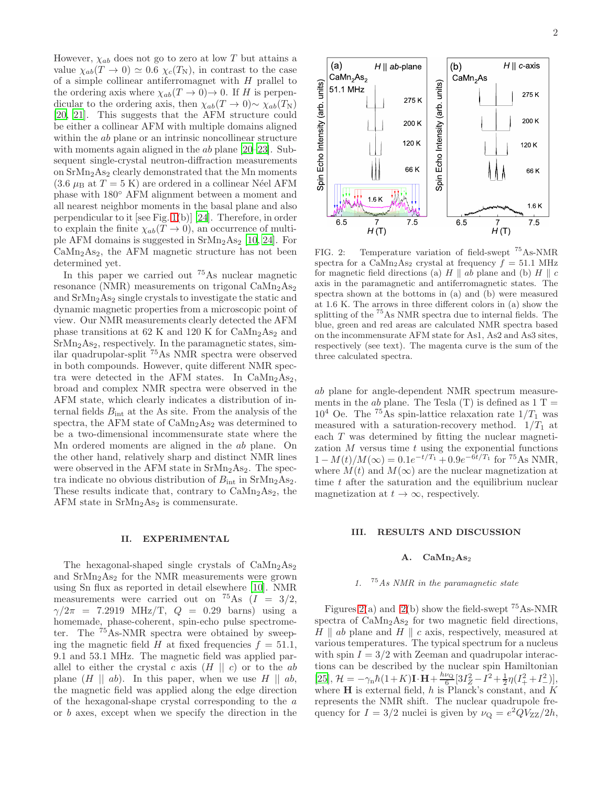However,  $\chi_{ab}$  does not go to zero at low T but attains a value  $\chi_{ab}(T \to 0) \simeq 0.6 \chi_c(T_N)$ , in contrast to the case of a simple collinear antiferromagnet with  $H$  prallel to the ordering axis where  $\chi_{ab}(T \to 0) \to 0$ . If H is perpendicular to the ordering axis, then  $\chi_{ab}(T \to 0) \sim \chi_{ab}(T_N)$ [\[20,](#page-8-15) [21](#page-8-16)]. This suggests that the AFM structure could be either a collinear AFM with multiple domains aligned within the *ab* plane or an intrinsic noncollinear structure with moments again aligned in the *ab* plane [\[20](#page-8-15)[–23\]](#page-8-17). Subsequent single-crystal neutron-diffraction measurements on  $SrMn<sub>2</sub>As<sub>2</sub> clearly demonstrated that the Mn moments$  $(3.6 \mu_B$  at  $T = 5$  K) are ordered in a collinear Néel AFM phase with 180◦ AFM alignment between a moment and all nearest neighbor moments in the basal plane and also perpendicular to it [see Fig. [1\(](#page-0-0)b)] [\[24](#page-8-18)]. Therefore, in order to explain the finite  $\chi_{ab}(T \to 0)$ , an occurrence of multiple AFM domains is suggested in  $SrMn<sub>2</sub>As<sub>2</sub>$  [\[10](#page-8-7), [24\]](#page-8-18). For  $CaMn<sub>2</sub>As<sub>2</sub>$ , the AFM magnetic structure has not been determined yet.

In this paper we carried out <sup>75</sup>As nuclear magnetic resonance (NMR) measurements on trigonal  $\text{CaMn}_2\text{As}_2$ and  $SrMn<sub>2</sub>As<sub>2</sub>$  single crystals to investigate the static and dynamic magnetic properties from a microscopic point of view. Our NMR measurements clearly detected the AFM phase transitions at 62 K and 120 K for  $CaMn<sub>2</sub>As<sub>2</sub>$  and  $SrMn<sub>2</sub>As<sub>2</sub>$ , respectively. In the paramagnetic states, similar quadrupolar-split <sup>75</sup>As NMR spectra were observed in both compounds. However, quite different NMR spectra were detected in the AFM states. In  $CaMn<sub>2</sub>As<sub>2</sub>$ , broad and complex NMR spectra were observed in the AFM state, which clearly indicates a distribution of internal fields  $B_{\text{int}}$  at the As site. From the analysis of the spectra, the AFM state of  $CaMn<sub>2</sub>As<sub>2</sub>$  was determined to be a two-dimensional incommensurate state where the Mn ordered moments are aligned in the ab plane. On the other hand, relatively sharp and distinct NMR lines were observed in the AFM state in  $SrMn<sub>2</sub>As<sub>2</sub>$ . The spectra indicate no obvious distribution of  $B_{\text{int}}$  in SrMn<sub>2</sub>As<sub>2</sub>. These results indicate that, contrary to  $\text{CaMn}_2\text{As}_2$ , the AFM state in  $SrMn<sub>2</sub>As<sub>2</sub>$  is commensurate.

### II. EXPERIMENTAL

The hexagonal-shaped single crystals of  $\text{CaMn}_2\text{As}_2$ and  $SrMn<sub>2</sub>As<sub>2</sub>$  for the NMR measurements were grown using Sn flux as reported in detail elsewhere [\[10\]](#page-8-7). NMR measurements were carried out on  ${}^{75}$ As  $(I = 3/2,$  $\gamma/2\pi$  = 7.2919 MHz/T,  $Q = 0.29$  barns) using a homemade, phase-coherent, spin-echo pulse spectrometer. The <sup>75</sup>As-NMR spectra were obtained by sweeping the magnetic field H at fixed frequencies  $f = 51.1$ , 9.1 and 53.1 MHz. The magnetic field was applied parallel to either the crystal c axis  $(H \parallel c)$  or to the ab plane  $(H || ab)$ . In this paper, when we use  $H || ab$ , the magnetic field was applied along the edge direction of the hexagonal-shape crystal corresponding to the a or b axes, except when we specify the direction in the



<span id="page-1-0"></span>FIG. 2: Temperature variation of field-swept <sup>75</sup>As-NMR spectra for a CaMn<sub>2</sub>As<sub>2</sub> crystal at frequency  $f = 51.1$  MHz for magnetic field directions (a)  $H \parallel ab$  plane and (b)  $H \parallel c$ axis in the paramagnetic and antiferromagnetic states. The spectra shown at the bottoms in (a) and (b) were measured at 1.6 K. The arrows in three different colors in (a) show the splitting of the <sup>75</sup>As NMR spectra due to internal fields. The blue, green and red areas are calculated NMR spectra based on the incommensurate AFM state for As1, As2 and As3 sites, respectively (see text). The magenta curve is the sum of the three calculated spectra.

ab plane for angle-dependent NMR spectrum measurements in the *ab* plane. The Tesla  $(T)$  is defined as  $1 T =$  $10^4$  Oe. The <sup>75</sup>As spin-lattice relaxation rate  $1/T_1$  was measured with a saturation-recovery method.  $1/T_1$  at each T was determined by fitting the nuclear magnetization  $M$  versus time  $t$  using the exponential functions  $1-M(t)/M(\infty) = 0.1e^{-t/T_1} + 0.9e^{-6t/T_1}$  for <sup>75</sup>As NMR, where  $M(t)$  and  $M(\infty)$  are the nuclear magnetization at time  $t$  after the saturation and the equilibrium nuclear magnetization at  $t \to \infty$ , respectively.

### III. RESULTS AND DISCUSSION

### A.  $CaMn<sub>2</sub>As<sub>2</sub>$

# 1.  $75As NMR$  in the paramagnetic state

Figures [2\(](#page-1-0)a) and 2(b) show the field-swept  $^{75}$ As-NMR spectra of  $\text{CaMn}_2\text{As}_2$  for two magnetic field directions,  $H \parallel ab$  plane and  $H \parallel c$  axis, respectively, measured at various temperatures. The typical spectrum for a nucleus with spin  $I = 3/2$  with Zeeman and quadrupolar interactions can be described by the nuclear spin Hamiltonian [\[25\]](#page-8-19),  $\mathcal{H} = -\gamma_{\rm n} \hbar (1+K) \mathbf{I} \cdot \mathbf{H} + \frac{h\nu_{\rm Q}}{6}$  $\frac{\nu_Q}{6} [3I_Z^2 - I^2 + \frac{1}{2}\eta(I_+^2 + I_-^2)],$ where  $H$  is external field, h is Planck's constant, and  $K$ represents the NMR shift. The nuclear quadrupole frequency for  $I = 3/2$  nuclei is given by  $\nu_{\mathbf{Q}} = e^2 Q V_{\mathbf{ZZ}} / 2h$ ,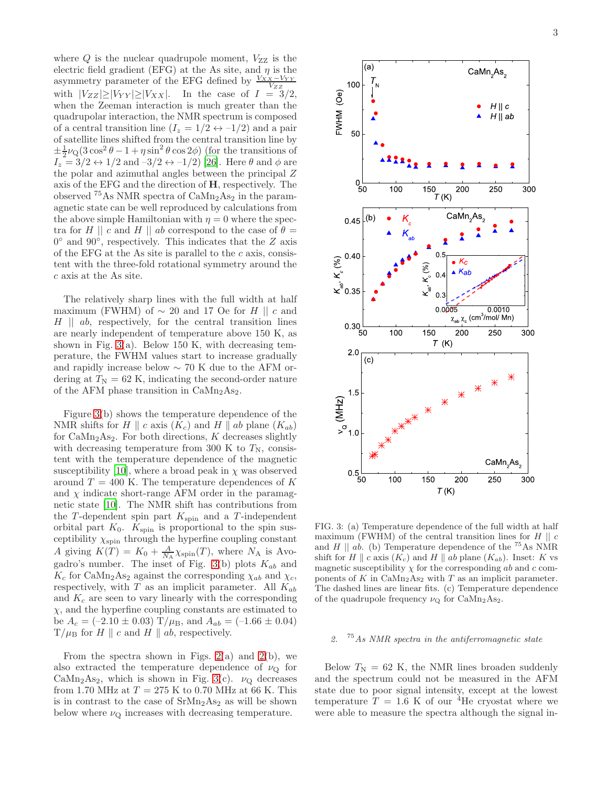where  $Q$  is the nuclear quadrupole moment,  $V_{ZZ}$  is the electric field gradient (EFG) at the As site, and  $\eta$  is the asymmetry parameter of the EFG defined by  $\frac{V_{XX} - V_{YY}}{V_{ZZ}}$ with  $|V_{ZZ}|\geq |V_{YY}|\geq |V_{XX}|$ . In the case of  $I = 3/2$ , when the Zeeman interaction is much greater than the quadrupolar interaction, the NMR spectrum is composed of a central transition line  $(I_z = 1/2 \leftrightarrow -1/2)$  and a pair of satellite lines shifted from the central transition line by  $\pm \frac{1}{2}\nu_{\rm Q}(3\cos^2\theta - 1 + \eta\sin^2\theta\cos 2\phi)$  (for the transitions of  $I_z = 3/2 \leftrightarrow 1/2$  and  $-3/2 \leftrightarrow -1/2$ ) [\[26\]](#page-8-20). Here  $\theta$  and  $\phi$  are the polar and azimuthal angles between the principal Z axis of the EFG and the direction of H, respectively. The observed  $^{75}$ As NMR spectra of  $\text{CaMn}_2\text{As}_2$  in the paramagnetic state can be well reproduced by calculations from the above simple Hamiltonian with  $\eta = 0$  where the spectra for H || c and H || ab correspond to the case of  $\theta =$  $0^{\circ}$  and  $90^{\circ}$ , respectively. This indicates that the Z axis of the EFG at the As site is parallel to the  $c$  axis, consistent with the three-fold rotational symmetry around the c axis at the As site.

The relatively sharp lines with the full width at half maximum (FWHM) of  $\sim$  20 and 17 Oe for H || c and  $H \parallel ab$ , respectively, for the central transition lines are nearly independent of temperature above 150 K, as shown in Fig.  $3(a)$ . Below 150 K, with decreasing temperature, the FWHM values start to increase gradually and rapidly increase below ∼ 70 K due to the AFM ordering at  $T_N = 62$  K, indicating the second-order nature of the AFM phase transition in CaMn2As2.

Figure [3\(](#page-2-0)b) shows the temperature dependence of the NMR shifts for H || c axis  $(K_c)$  and H || ab plane  $(K_{ab})$ for  $\text{CaMn}_2\text{As}_2$ . For both directions, K decreases slightly with decreasing temperature from 300 K to  $T_N$ , consistent with the temperature dependence of the magnetic susceptibility [\[10\]](#page-8-7), where a broad peak in  $\chi$  was observed around  $T = 400$  K. The temperature dependences of K and  $\chi$  indicate short-range AFM order in the paramagnetic state [\[10\]](#page-8-7). The NMR shift has contributions from the T-dependent spin part  $K_{spin}$  and a T-independent orbital part  $K_0$ .  $K_{\text{spin}}$  is proportional to the spin susceptibility  $\chi_\mathrm{spin}$  through the hyperfine coupling constant A giving  $K(T) = K_0 + \frac{A}{N_A} \chi_{spin}(T)$ , where  $N_A$  is Avo-gadro's number. The inset of Fig. [3\(](#page-2-0)b) plots  $K_{ab}$  and  $K_c$  for CaMn<sub>2</sub>As<sub>2</sub> against the corresponding  $\chi_{ab}$  and  $\chi_c$ , respectively, with  $T$  as an implicit parameter. All  $K_{ab}$ and  $K_c$  are seen to vary linearly with the corresponding  $\chi$ , and the hyperfine coupling constants are estimated to be  $A_c = (-2.10 \pm 0.03) \text{ T}/\mu_B$ , and  $A_{ab} = (-1.66 \pm 0.04)$  $T/\mu_B$  for H || c and H || ab, respectively.

From the spectra shown in Figs.  $2(a)$  and  $2(b)$ , we also extracted the temperature dependence of  $\nu_{\mathbf{Q}}$  for CaMn<sub>2</sub>As<sub>2</sub>, which is shown in Fig. [3\(](#page-2-0)c).  $\nu_{Q}$  decreases from 1.70 MHz at  $T = 275$  K to 0.70 MHz at 66 K. This is in contrast to the case of  $\rm SrMn_2As_2$  as will be shown below where  $\nu_{\mathbf{Q}}$  increases with decreasing temperature.



<span id="page-2-0"></span>FIG. 3: (a) Temperature dependence of the full width at half maximum (FWHM) of the central transition lines for  $H \parallel c$ and H  $\parallel$  ab. (b) Temperature dependence of the <sup>75</sup>As NMR shift for H  $\parallel$  c axis  $(K_c)$  and H  $\parallel$  ab plane  $(K_{ab})$ . Inset: K vs magnetic susceptibility  $\chi$  for the corresponding ab and c components of K in  $\text{CaMn}_2\text{As}_2$  with T as an implicit parameter. The dashed lines are linear fits. (c) Temperature dependence of the quadrupole frequency  $\nu_{\mathbf{Q}}$  for CaMn<sub>2</sub>As<sub>2</sub>.

# 2.  $75As NMR spectra in the antiferromagnetic state$

Below  $T_N = 62$  K, the NMR lines broaden suddenly and the spectrum could not be measured in the AFM state due to poor signal intensity, except at the lowest temperature  $T = 1.6$  K of our <sup>4</sup>He cryostat where we were able to measure the spectra although the signal in-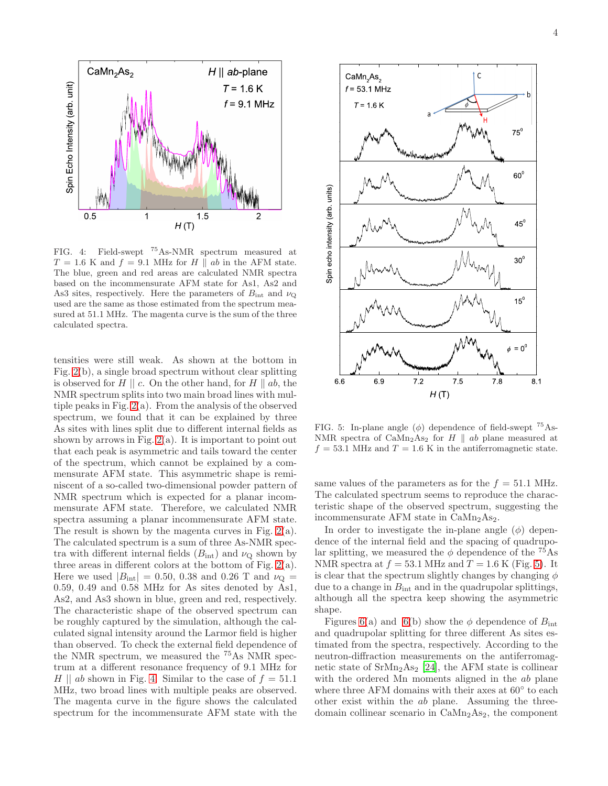

<span id="page-3-0"></span>FIG. 4: Field-swept <sup>75</sup>As-NMR spectrum measured at  $T = 1.6$  K and  $f = 9.1$  MHz for H || ab in the AFM state. The blue, green and red areas are calculated NMR spectra based on the incommensurate AFM state for As1, As2 and As3 sites, respectively. Here the parameters of  $B_{\text{int}}$  and  $\nu_{\text{Q}}$ used are the same as those estimated from the spectrum measured at 51.1 MHz. The magenta curve is the sum of the three calculated spectra.

tensities were still weak. As shown at the bottom in Fig. [2\(](#page-1-0)b), a single broad spectrum without clear splitting is observed for  $H \parallel c$ . On the other hand, for  $H \parallel ab$ , the NMR spectrum splits into two main broad lines with multiple peaks in Fig. [2\(](#page-1-0)a). From the analysis of the observed spectrum, we found that it can be explained by three As sites with lines split due to different internal fields as shown by arrows in Fig.  $2(a)$ . It is important to point out that each peak is asymmetric and tails toward the center of the spectrum, which cannot be explained by a commensurate AFM state. This asymmetric shape is reminiscent of a so-called two-dimensional powder pattern of NMR spectrum which is expected for a planar incommensurate AFM state. Therefore, we calculated NMR spectra assuming a planar incommensurate AFM state. The result is shown by the magenta curves in Fig. [2\(](#page-1-0)a). The calculated spectrum is a sum of three As-NMR spectra with different internal fields  $(B_{int})$  and  $\nu_{Q}$  shown by three areas in different colors at the bottom of Fig. [2\(](#page-1-0)a). Here we used  $|B_{\text{int}}| = 0.50, 0.38$  and 0.26 T and  $\nu_{\text{Q}} =$ 0.59, 0.49 and 0.58 MHz for As sites denoted by As1, As2, and As3 shown in blue, green and red, respectively. The characteristic shape of the observed spectrum can be roughly captured by the simulation, although the calculated signal intensity around the Larmor field is higher than observed. To check the external field dependence of the NMR spectrum, we measured the <sup>75</sup>As NMR spectrum at a different resonance frequency of 9.1 MHz for H || ab shown in Fig. [4.](#page-3-0) Similar to the case of  $f = 51.1$ MHz, two broad lines with multiple peaks are observed. The magenta curve in the figure shows the calculated spectrum for the incommensurate AFM state with the



<span id="page-3-1"></span>FIG. 5: In-plane angle  $(\phi)$  dependence of field-swept  $^{75}$ As-NMR spectra of  $\text{CaMn}_2\text{As}_2$  for  $H \parallel ab$  plane measured at  $f = 53.1$  MHz and  $T = 1.6$  K in the antiferromagnetic state.

same values of the parameters as for the  $f = 51.1$  MHz. The calculated spectrum seems to reproduce the characteristic shape of the observed spectrum, suggesting the incommensurate AFM state in  $CaMn<sub>2</sub>As<sub>2</sub>$ .

In order to investigate the in-plane angle  $(\phi)$  dependence of the internal field and the spacing of quadrupolar splitting, we measured the  $\phi$  dependence of the <sup>75</sup>As NMR spectra at  $f = 53.1$  MHz and  $T = 1.6$  K (Fig. [5\)](#page-3-1). It is clear that the spectrum slightly changes by changing  $\phi$ due to a change in  $B_{\text{int}}$  and in the quadrupolar splittings, although all the spectra keep showing the asymmetric shape.

Figures [6\(](#page-4-0)a) and 6(b) show the  $\phi$  dependence of  $B_{\text{int}}$ and quadrupolar splitting for three different As sites estimated from the spectra, respectively. According to the neutron-diffraction measurements on the antiferromagnetic state of  $S_{\rm rMn_2As_2}$  [\[24](#page-8-18)], the AFM state is collinear with the ordered Mn moments aligned in the ab plane where three AFM domains with their axes at  $60^{\circ}$  to each other exist within the ab plane. Assuming the threedomain collinear scenario in  $\text{CaMn}_2\text{As}_2$ , the component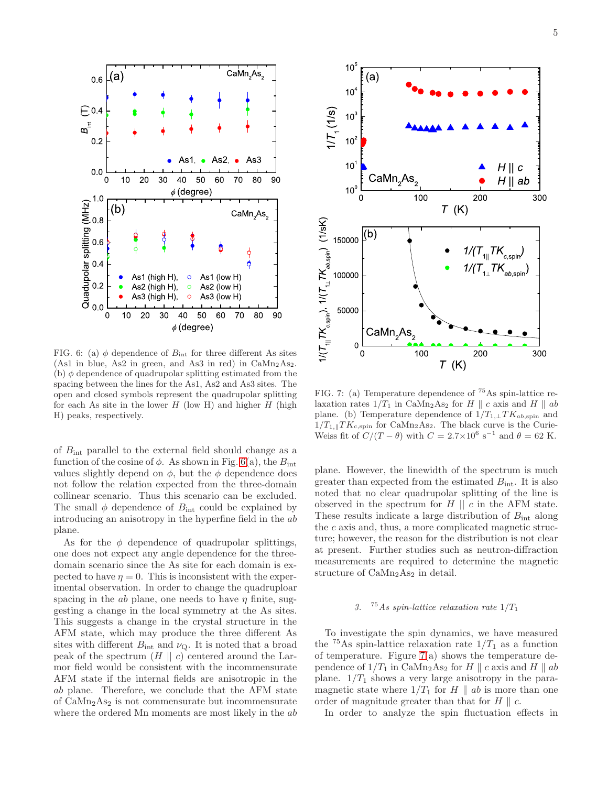

<span id="page-4-0"></span>FIG. 6: (a)  $\phi$  dependence of  $B_{\text{int}}$  for three different As sites (As1 in blue, As2 in green, and As3 in red) in  $CaMn<sub>2</sub>As<sub>2</sub>$ . (b)  $\phi$  dependence of quadrupolar splitting estimated from the spacing between the lines for the As1, As2 and As3 sites. The open and closed symbols represent the quadrupolar splitting for each As site in the lower  $H$  (low H) and higher  $H$  (high H) peaks, respectively.

of  $B_{\text{int}}$  parallel to the external field should change as a function of the cosine of  $\phi$ . As shown in Fig. [6\(](#page-4-0)a), the  $B_{\text{int}}$ values slightly depend on  $\phi$ , but the  $\phi$  dependence does not follow the relation expected from the three-domain collinear scenario. Thus this scenario can be excluded. The small  $\phi$  dependence of  $B_{\text{int}}$  could be explained by introducing an anisotropy in the hyperfine field in the ab plane.

As for the  $\phi$  dependence of quadrupolar splittings, one does not expect any angle dependence for the threedomain scenario since the As site for each domain is expected to have  $\eta = 0$ . This is inconsistent with the experimental observation. In order to change the quadruploar spacing in the ab plane, one needs to have  $\eta$  finite, suggesting a change in the local symmetry at the As sites. This suggests a change in the crystal structure in the AFM state, which may produce the three different As sites with different  $B_{\text{int}}$  and  $\nu_{\text{Q}}$ . It is noted that a broad peak of the spectrum  $(H || c)$  centered around the Larmor field would be consistent with the incommensurate AFM state if the internal fields are anisotropic in the ab plane. Therefore, we conclude that the AFM state of  $\text{CaMn}_2\text{As}_2$  is not commensurate but incommensurate where the ordered Mn moments are most likely in the ab



<span id="page-4-1"></span>FIG. 7: (a) Temperature dependence of <sup>75</sup>As spin-lattice relaxation rates  $1/T_1$  in CaMn<sub>2</sub>As<sub>2</sub> for H || c axis and H || ab plane. (b) Temperature dependence of  $1/T_{1,\perp}TK_{ab,\text{spin}}$  and  $1/T_{1,\parallel}TK_{c,\text{spin}}$  for CaMn<sub>2</sub>As<sub>2</sub>. The black curve is the Curie-Weiss fit of  $C/(T - \theta)$  with  $C = 2.7 \times 10^6$  s<sup>-1</sup> and  $\theta = 62$  K.

plane. However, the linewidth of the spectrum is much greater than expected from the estimated  $B_{\text{int}}$ . It is also noted that no clear quadrupolar splitting of the line is observed in the spectrum for  $H \parallel c$  in the AFM state. These results indicate a large distribution of  $B_{\text{int}}$  along the  $c$  axis and, thus, a more complicated magnetic structure; however, the reason for the distribution is not clear at present. Further studies such as neutron-diffraction measurements are required to determine the magnetic structure of CaMn<sub>2</sub>As<sub>2</sub> in detail.

### 3. <sup>75</sup> As spin-lattice relaxation rate  $1/T_1$

To investigate the spin dynamics, we have measured the <sup>75</sup>As spin-lattice relaxation rate  $1/T_1$  as a function of temperature. Figure  $7(a)$  shows the temperature dependence of  $1/T_1$  in CaMn<sub>2</sub>As<sub>2</sub> for H || c axis and H || ab plane.  $1/T_1$  shows a very large anisotropy in the paramagnetic state where  $1/T_1$  for H k ab is more than one order of magnitude greater than that for  $H \parallel c$ .

In order to analyze the spin fluctuation effects in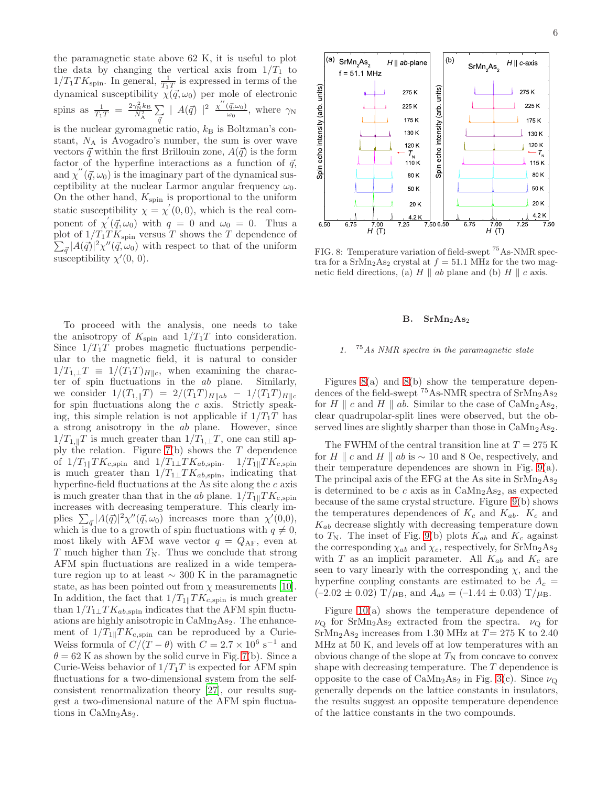the paramagnetic state above 62 K, it is useful to plot the data by changing the vertical axis from  $1/T_1$  to  $1/T_1TK_{\text{spin}}$ . In general,  $\frac{1}{T_1T}$  is expressed in terms of the dynamical susceptibility  $\chi(\vec{q}, \omega_0)$  per mole of electronic spins as  $\frac{1}{T_1T} = \frac{2\gamma_N^2 k_B}{N_A^2} \sum_{\vec{\sigma}}$  $\bar{q}$  $|A(\vec{q})|^2 \frac{\chi''(\vec{q},\omega_0)}{\omega_0}$  $\frac{(q,\omega_0)}{\omega_0}$ , where  $\gamma_{\rm N}$ is the nuclear gyromagnetic ratio,  $k_{\rm B}$  is Boltzman's constant,  $N_A$  is Avogadro's number, the sum is over wave vectors  $\vec{q}$  within the first Brillouin zone,  $A(\vec{q})$  is the form factor of the hyperfine interactions as a function of  $\vec{q}$ , and  $\chi''(\vec{q}, \omega_0)$  is the imaginary part of the dynamical susceptibility at the nuclear Larmor angular frequency  $\omega_0$ . On the other hand,  $K_{\text{spin}}$  is proportional to the uniform static susceptibility  $\chi = \chi'(0,0)$ , which is the real component of  $\chi'(\vec{q}, \omega_0)$  with  $q = 0$  and  $\omega_0 = 0$ . Thus a plot of  $1/T_1TK_{\text{spin}}$  versus T shows the T dependence of  $\sum_{\vec{q}} |A(\vec{q})|^2 \chi''(\vec{q}, \omega_0)$  with respect to that of the uniform susceptibility  $\chi'(0, 0)$ .

To proceed with the analysis, one needs to take the anisotropy of  $K_{\text{spin}}$  and  $1/T_1T$  into consideration. Since  $1/T_1T$  probes magnetic fluctuations perpendicular to the magnetic field, it is natural to consider  $1/T_{1,\perp}T \equiv 1/(T_1T)_{H\parallel c}$ , when examining the character of spin fluctuations in the ab plane. Similarly, we consider  $1/(T_{1,\parallel}T) = 2/(T_1T)_{H||ab} - 1/(T_1T)_{H||c}$ for spin fluctuations along the  $c$  axis. Strictly speaking, this simple relation is not applicable if  $1/T_1T$  has a strong anisotropy in the ab plane. However, since  $1/T_{1,\parallel}T$  is much greater than  $1/T_{1,\perp}T$ , one can still apply the relation. Figure  $7(b)$  shows the T dependence of  $1/T_{1\parallel}TK_{c,\text{spin}}$  and  $1/T_{1\perp}TK_{ab,\text{spin}}$ .  $1/T_{1\parallel}TK_{c,\text{spin}}$ is much greater than  $1/T_1\_\text{T}K_{ab,\text{spin}}$ , indicating that hyperfine-field fluctuations at the As site along the  $c$  axis is much greater than that in the ab plane.  $1/T_{1\parallel}TK_{c,\text{spin}}$ increases with decreasing temperature. This clearly implies  $\sum_{\vec{q}} |A(\vec{q})|^2 \chi''(\vec{q}, \omega_0)$  increases more than  $\chi'(0,0)$ , which is due to a growth of spin fluctuations with  $q \neq 0$ , most likely with AFM wave vector  $q = Q_{AF}$ , even at T much higher than  $T_N$ . Thus we conclude that strong AFM spin fluctuations are realized in a wide temperature region up to at least ∼ 300 K in the paramagnetic state, as has been pointed out from  $\chi$  measurements [\[10\]](#page-8-7). In addition, the fact that  $1/T_{1\parallel}TK_{c,\text{spin}}$  is much greater than  $1/T_1 \perp T K_{ab,spin}$  indicates that the AFM spin fluctuations are highly anisotropic in  $\text{CaMn}_2\text{As}_2$ . The enhancement of  $1/T_{1\parallel}TK_{c,\text{spin}}$  can be reproduced by a Curie-Weiss formula of  $C/(T - \theta)$  with  $C = 2.7 \times 10^6$  s<sup>-1</sup> and  $\theta = 62$  K as shown by the solid curve in Fig. [7\(](#page-4-1)b). Since a Curie-Weiss behavior of  $1/T_1T$  is expected for AFM spin fluctuations for a two-dimensional system from the selfconsistent renormalization theory [\[27](#page-9-0)], our results suggest a two-dimensional nature of the AFM spin fluctuations in  $CaMn<sub>2</sub>As<sub>2</sub>$ .



<span id="page-5-0"></span>FIG. 8: Temperature variation of field-swept <sup>75</sup>As-NMR spectra for a  $SrMn<sub>2</sub>As<sub>2</sub>$  crystal at  $f = 51.1$  MHz for the two magnetic field directions, (a)  $H \parallel ab$  plane and (b)  $H \parallel c$  axis.

#### $B.$  Sr $Mn<sub>2</sub>As<sub>2</sub>$

### 1. <sup>75</sup>As NMR spectra in the paramagnetic state

Figures  $8(a)$  and  $8(b)$  show the temperature dependences of the field-swept  ${}^{75}$ As-NMR spectra of SrMn<sub>2</sub>As<sub>2</sub> for H | c and H | ab. Similar to the case of  $\text{CaMn}_2\text{As}_2$ , clear quadrupolar-split lines were observed, but the observed lines are slightly sharper than those in  $CaMn<sub>2</sub>As<sub>2</sub>$ .

The FWHM of the central transition line at  $T = 275$  K for H | c and H || ab is  $\sim$  10 and 8 Oe, respectively, and their temperature dependences are shown in Fig. [9\(](#page-6-0)a). The principal axis of the EFG at the As site in  $SrMn<sub>2</sub>As<sub>2</sub>$ is determined to be  $c$  axis as in  $CaMn<sub>2</sub>As<sub>2</sub>$ , as expected because of the same crystal structure. Figure [9\(](#page-6-0)b) shows the temperatures dependences of  $K_c$  and  $K_{ab}$ .  $K_c$  and  $K_{ab}$  decrease slightly with decreasing temperature down to  $T_N$ . The inset of Fig. [9\(](#page-6-0)b) plots  $K_{ab}$  and  $K_c$  against the corresponding  $\chi_{ab}$  and  $\chi_c$ , respectively, for SrMn<sub>2</sub>As<sub>2</sub> with T as an implicit parameter. All  $K_{ab}$  and  $K_c$  are seen to vary linearly with the corresponding  $\chi$ , and the hyperfine coupling constants are estimated to be  $A_c =$  $(-2.02 \pm 0.02)$  T/ $\mu_{\rm B}$ , and  $A_{ab} = (-1.44 \pm 0.03)$  T/ $\mu_{\rm B}$ .

Figure [10\(](#page-6-1)a) shows the temperature dependence of  $\nu_{\rm Q}$  for SrMn<sub>2</sub>As<sub>2</sub> extracted from the spectra.  $\nu_{\rm Q}$  for SrMn<sub>2</sub>As<sub>2</sub> increases from 1.30 MHz at  $T= 275$  K to 2.40 MHz at 50 K, and levels off at low temperatures with an obvious change of the slope at  $T_N$  from concave to convex shape with decreasing temperature. The T dependence is opposite to the case of  $\text{CaMn}_2\text{As}_2$  in Fig. [3\(](#page-2-0)c). Since  $\nu_{\text{Q}}$ generally depends on the lattice constants in insulators, the results suggest an opposite temperature dependence of the lattice constants in the two compounds.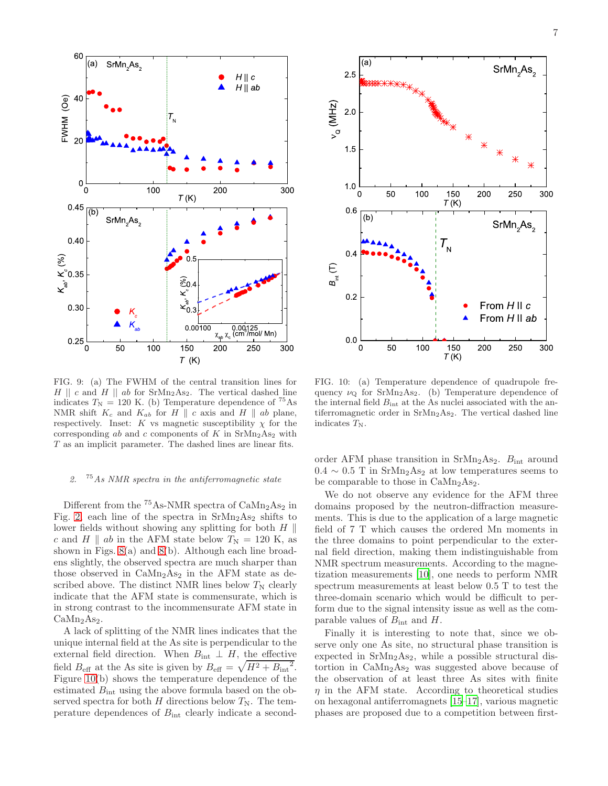

<span id="page-6-0"></span>FIG. 9: (a) The FWHM of the central transition lines for  $H \parallel c$  and  $H \parallel ab$  for SrMn<sub>2</sub>As<sub>2</sub>. The vertical dashed line indicates  $T_N = 120$  K. (b) Temperature dependence of <sup>75</sup>As NMR shift  $K_c$  and  $K_{ab}$  for  $H \parallel c$  axis and  $H \parallel ab$  plane, respectively. Inset: K vs magnetic susceptibility  $\chi$  for the corresponding ab and c components of K in  $\text{SrMn}_2\text{As}_2$  with T as an implicit parameter. The dashed lines are linear fits.

# 2.  $75As NMR spectra in the antiferromagnetic state$

Different from the  ${}^{75}$ As-NMR spectra of  $CaMn<sub>2</sub>As<sub>2</sub>$  in Fig. [2,](#page-1-0) each line of the spectra in  $SrMn<sub>2</sub>As<sub>2</sub>$  shifts to lower fields without showing any splitting for both  $H \parallel$ c and H || ab in the AFM state below  $T_N = 120$  K, as shown in Figs. [8\(](#page-5-0)a) and [8\(](#page-5-0)b). Although each line broadens slightly, the observed spectra are much sharper than those observed in  $CaMn<sub>2</sub>As<sub>2</sub>$  in the AFM state as described above. The distinct NMR lines below  $T_N$  clearly indicate that the AFM state is commensurate, which is in strong contrast to the incommensurate AFM state in  $CaMn<sub>2</sub>As<sub>2</sub>$ .

A lack of splitting of the NMR lines indicates that the unique internal field at the As site is perpendicular to the external field direction. When  $B_{int} \perp H$ , the effective field  $B_{\text{eff}}$  at the As site is given by  $B_{\text{eff}} = \sqrt{H^2 + B_{\text{int}}^2}$ . Figure [10\(](#page-6-1)b) shows the temperature dependence of the estimated  $B_{\text{int}}$  using the above formula based on the observed spectra for both H directions below  $T_N$ . The temperature dependences of  $B_{\text{int}}$  clearly indicate a second-



<span id="page-6-1"></span>FIG. 10: (a) Temperature dependence of quadrupole frequency  $\nu_{\mathbf{Q}}$  for SrMn<sub>2</sub>As<sub>2</sub>. (b) Temperature dependence of the internal field  $B_{\text{int}}$  at the As nuclei associated with the antiferromagnetic order in  $SrMn<sub>2</sub>As<sub>2</sub>$ . The vertical dashed line indicates  $T_N$ .

order AFM phase transition in  $\text{SrMn}_2\text{As}_2$ .  $B_{\text{int}}$  around  $0.4 \sim 0.5$  T in SrMn<sub>2</sub>As<sub>2</sub> at low temperatures seems to be comparable to those in  $\text{CaMn}_2\text{As}_2$ .

We do not observe any evidence for the AFM three domains proposed by the neutron-diffraction measurements. This is due to the application of a large magnetic field of 7 T which causes the ordered Mn moments in the three domains to point perpendicular to the external field direction, making them indistinguishable from NMR spectrum measurements. According to the magnetization measurements [\[10\]](#page-8-7), one needs to perform NMR spectrum measurements at least below 0.5 T to test the three-domain scenario which would be difficult to perform due to the signal intensity issue as well as the comparable values of  $B_{\text{int}}$  and H.

Finally it is interesting to note that, since we observe only one As site, no structural phase transition is expected in  $SrMn<sub>2</sub>As<sub>2</sub>$ , while a possible structural distortion in  $\text{CaMn}_2\text{As}_2$  was suggested above because of the observation of at least three As sites with finite  $\eta$  in the AFM state. According to theoretical studies on hexagonal antiferromagnets [\[15](#page-8-11)[–17\]](#page-8-12), various magnetic phases are proposed due to a competition between first-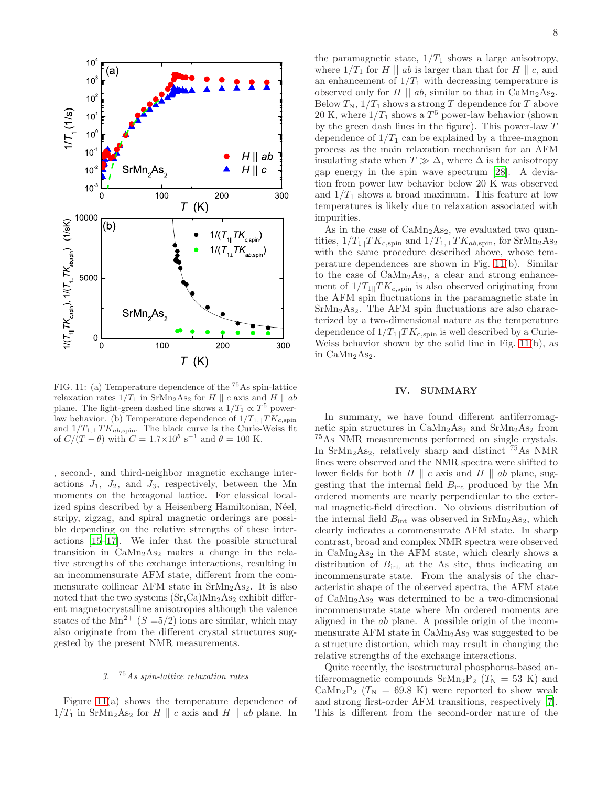

<span id="page-7-0"></span>FIG. 11: (a) Temperature dependence of the <sup>75</sup>As spin-lattice relaxation rates  $1/T_1$  in SrMn<sub>2</sub>As<sub>2</sub> for H || c axis and H || ab plane. The light-green dashed line shows a  $1/T_1 \propto T^5$  powerlaw behavior. (b) Temperature dependence of  $1/T_{1,\parallel}TK_{c,\text{spin}}$ and  $1/T_{1,\perp}TK_{ab,\text{spin}}$ . The black curve is the Curie-Weiss fit of  $C/(T - \theta)$  with  $C = 1.7 \times 10^5$  s<sup>-1</sup> and  $\theta = 100$  K.

, second-, and third-neighbor magnetic exchange interactions  $J_1$ ,  $J_2$ , and  $J_3$ , respectively, between the Mn moments on the hexagonal lattice. For classical localized spins described by a Heisenberg Hamiltonian, Néel, stripy, zigzag, and spiral magnetic orderings are possible depending on the relative strengths of these interactions [\[15](#page-8-11)[–17](#page-8-12)]. We infer that the possible structural transition in  $CaMn<sub>2</sub>As<sub>2</sub>$  makes a change in the relative strengths of the exchange interactions, resulting in an incommensurate AFM state, different from the commensurate collinear AFM state in  $SrMn<sub>2</sub>As<sub>2</sub>$ . It is also noted that the two systems  $(Sr,Ca)Mn<sub>2</sub>As<sub>2</sub>$  exhibit different magnetocrystalline anisotropies although the valence states of the  $Mn^{2+}$  ( $S = 5/2$ ) ions are similar, which may also originate from the different crystal structures suggested by the present NMR measurements.

## 3. <sup>75</sup>As spin-lattice relaxation rates

Figure [11\(](#page-7-0)a) shows the temperature dependence of  $1/T_1$  in SrMn<sub>2</sub>As<sub>2</sub> for H || c axis and H || ab plane. In

the paramagnetic state,  $1/T_1$  shows a large anisotropy, where  $1/T_1$  for H || ab is larger than that for H || c, and an enhancement of  $1/T_1$  with decreasing temperature is observed only for H  $||$  ab, similar to that in CaMn<sub>2</sub>As<sub>2</sub>. Below  $T_N$ ,  $1/T_1$  shows a strong T dependence for T above 20 K, where  $1/T_1$  shows a  $T^5$  power-law behavior (shown by the green dash lines in the figure). This power-law T dependence of  $1/T_1$  can be explained by a three-magnon process as the main relaxation mechanism for an AFM insulating state when  $T \gg \Delta$ , where  $\Delta$  is the anisotropy gap energy in the spin wave spectrum [\[28\]](#page-9-1). A deviation from power law behavior below 20 K was observed and  $1/T_1$  shows a broad maximum. This feature at low temperatures is likely due to relaxation associated with impurities.

As in the case of  $CaMn<sub>2</sub>As<sub>2</sub>$ , we evaluated two quantities,  $1/T_{1\parallel}TK_{c,\text{spin}}$  and  $1/T_{1\perp}TK_{ab,\text{spin}}$ , for SrMn<sub>2</sub>As<sub>2</sub> with the same procedure described above, whose temperature dependences are shown in Fig. [11\(](#page-7-0)b). Similar to the case of  $CaMn<sub>2</sub>As<sub>2</sub>$ , a clear and strong enhancement of  $1/T_{1\parallel}TK_{c,\text{spin}}$  is also observed originating from the AFM spin fluctuations in the paramagnetic state in  $SrMn<sub>2</sub>As<sub>2</sub>$ . The AFM spin fluctuations are also characterized by a two-dimensional nature as the temperature dependence of  $1/T_{1\parallel}TK_{c,\text{spin}}$  is well described by a Curie-Weiss behavior shown by the solid line in Fig. [11\(](#page-7-0)b), as in  $\text{CaMn}_2\text{As}_2$ .

#### IV. SUMMARY

In summary, we have found different antiferromagnetic spin structures in  $\text{CaMn}_2\text{As}_2$  and  $\text{SrMn}_2\text{As}_2$  from <sup>75</sup>As NMR measurements performed on single crystals. In  $SrMn<sub>2</sub>As<sub>2</sub>$ , relatively sharp and distinct  $^{75}As$  NMR lines were observed and the NMR spectra were shifted to lower fields for both  $H \parallel c$  axis and  $H \parallel ab$  plane, suggesting that the internal field  $B_{\text{int}}$  produced by the Mn ordered moments are nearly perpendicular to the external magnetic-field direction. No obvious distribution of the internal field  $B_{\text{int}}$  was observed in Sr $Mn_2As_2$ , which clearly indicates a commensurate AFM state. In sharp contrast, broad and complex NMR spectra were observed in  $CaMn<sub>2</sub>As<sub>2</sub>$  in the AFM state, which clearly shows a distribution of  $B_{\text{int}}$  at the As site, thus indicating an incommensurate state. From the analysis of the characteristic shape of the observed spectra, the AFM state of  $\text{CaMn}_2\text{As}_2$  was determined to be a two-dimensional incommensurate state where Mn ordered moments are aligned in the ab plane. A possible origin of the incommensurate AFM state in  $\text{CaMn}_2\text{As}_2$  was suggested to be a structure distortion, which may result in changing the relative strengths of the exchange interactions.

Quite recently, the isostructural phosphorus-based antiferromagnetic compounds  $\text{SrMn}_2\text{P}_2$  ( $T_N = 53 \text{ K}$ ) and  $\text{CaMn}_2\text{P}_2$  (T<sub>N</sub> = 69.8 K) were reported to show weak and strong first-order AFM transitions, respectively [\[7\]](#page-8-5). This is different from the second-order nature of the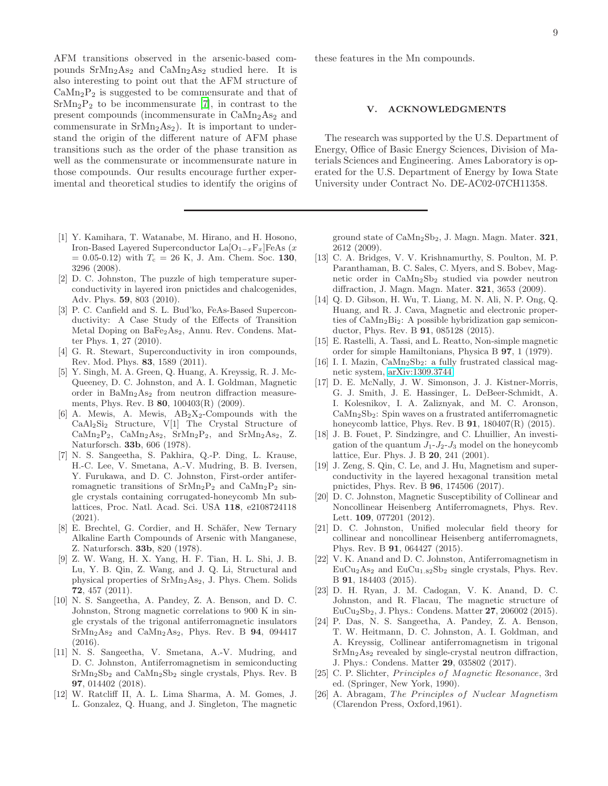AFM transitions observed in the arsenic-based compounds  $SrMn<sub>2</sub>As<sub>2</sub>$  and  $CaMn<sub>2</sub>As<sub>2</sub>$  studied here. It is also interesting to point out that the AFM structure of  $CaMn<sub>2</sub>P<sub>2</sub>$  is suggested to be commensurate and that of  $SrMn<sub>2</sub>P<sub>2</sub>$  to be incommensurate [\[7](#page-8-5)], in contrast to the present compounds (incommensurate in  $CaMn<sub>2</sub>As<sub>2</sub>$  and commensurate in  $SrMn<sub>2</sub>As<sub>2</sub>$ ). It is important to understand the origin of the different nature of AFM phase transitions such as the order of the phase transition as well as the commensurate or incommensurate nature in those compounds. Our results encourage further experimental and theoretical studies to identify the origins of

- <span id="page-8-0"></span>[1] Y. Kamihara, T. Watanabe, M. Hirano, and H. Hosono, Iron-Based Layered Superconductor La $O_{1-x}F_x$ |FeAs (x  $= 0.05{\text -}0.12$  with  $T_c = 26$  K, J. Am. Chem. Soc. 130, 3296 (2008).
- <span id="page-8-1"></span>[2] D. C. Johnston, The puzzle of high temperature superconductivity in layered iron pnictides and chalcogenides, Adv. Phys. 59, 803 (2010).
- [3] P. C. Canfield and S. L. Bud'ko, FeAs-Based Superconductivity: A Case Study of the Effects of Transition Metal Doping on BaFe2As2, Annu. Rev. Condens. Matter Phys. 1, 27 (2010).
- <span id="page-8-2"></span>[4] G. R. Stewart, Superconductivity in iron compounds, Rev. Mod. Phys. 83, 1589 (2011).
- <span id="page-8-3"></span>[5] Y. Singh, M. A. Green, Q. Huang, A. Kreyssig, R. J. Mc-Queeney, D. C. Johnston, and A. I. Goldman, Magnetic order in  $BaMn<sub>2</sub>As<sub>2</sub>$  from neutron diffraction measurements, Phys. Rev. B 80, 100403(R) (2009).
- <span id="page-8-4"></span>[6] A. Mewis, A. Mewis,  $AB_2X_2$ -Compounds with the CaAl2Si<sup>2</sup> Structure, V[1] The Crystal Structure of Ca $Mn_2P_2$ , Ca $Mn_2As_2$ , Sr $Mn_2P_2$ , and Sr $Mn_2As_2$ , Z. Naturforsch. 33b, 606 (1978).
- <span id="page-8-5"></span>[7] N. S. Sangeetha, S. Pakhira, Q.-P. Ding, L. Krause, H.-C. Lee, V. Smetana, A.-V. Mudring, B. B. Iversen, Y. Furukawa, and D. C. Johnston, First-order antiferromagnetic transitions of  $SrMn_2P_2$  and  $CaMn_2P_2$  single crystals containing corrugated-honeycomb Mn sublattices, Proc. Natl. Acad. Sci. USA 118, e2108724118 (2021).
- <span id="page-8-6"></span>[8] E. Brechtel, G. Cordier, and H. Schäfer, New Ternary Alkaline Earth Compounds of Arsenic with Manganese, Z. Naturforsch. 33b, 820 (1978).
- [9] Z. W. Wang, H. X. Yang, H. F. Tian, H. L. Shi, J. B. Lu, Y. B. Qin, Z. Wang, and J. Q. Li, Structural and physical properties of SrMn2As2, J. Phys. Chem. Solids 72, 457 (2011).
- <span id="page-8-7"></span>[10] N. S. Sangeetha, A. Pandey, Z. A. Benson, and D. C. Johnston, Strong magnetic correlations to 900 K in single crystals of the trigonal antiferromagnetic insulators  $SrMn<sub>2</sub>As<sub>2</sub>$  and  $CaMn<sub>2</sub>As<sub>2</sub>$ , Phys. Rev. B 94, 094417 (2016).
- <span id="page-8-8"></span>[11] N. S. Sangeetha, V. Smetana, A.-V. Mudring, and D. C. Johnston, Antiferromagnetism in semiconducting  $SrMn<sub>2</sub>Sb<sub>2</sub>$  and  $CaMn<sub>2</sub>Sb<sub>2</sub>$  single crystals, Phys. Rev. B 97, 014402 (2018).
- [12] W. Ratcliff II, A. L. Lima Sharma, A. M. Gomes, J. L. Gonzalez, Q. Huang, and J. Singleton, The magnetic

these features in the Mn compounds.

### V. ACKNOWLEDGMENTS

The research was supported by the U.S. Department of Energy, Office of Basic Energy Sciences, Division of Materials Sciences and Engineering. Ames Laboratory is operated for the U.S. Department of Energy by Iowa State University under Contract No. DE-AC02-07CH11358.

ground state of  $\text{CaMn}_2\text{Sb}_2$ , J. Magn. Magn. Mater. **321**, 2612 (2009).

- <span id="page-8-9"></span>[13] C. A. Bridges, V. V. Krishnamurthy, S. Poulton, M. P. Paranthaman, B. C. Sales, C. Myers, and S. Bobev, Magnetic order in CaMn2Sb<sup>2</sup> studied via powder neutron diffraction, J. Magn. Magn. Mater. 321, 3653 (2009).
- <span id="page-8-10"></span>[14] Q. D. Gibson, H. Wu, T. Liang, M. N. Ali, N. P. Ong, Q. Huang, and R. J. Cava, Magnetic and electronic properties of CaMn2Bi2: A possible hybridization gap semiconductor, Phys. Rev. B 91, 085128 (2015).
- <span id="page-8-11"></span>[15] E. Rastelli, A. Tassi, and L. Reatto, Non-simple magnetic order for simple Hamiltonians, Physica B 97, 1 (1979).
- [16] I. I. Mazin,  $CaMn_2Sb_2$ : a fully frustrated classical magnetic system, [arXiv:1309.3744.](http://arxiv.org/abs/1309.3744)
- <span id="page-8-12"></span>[17] D. E. McNally, J. W. Simonson, J. J. Kistner-Morris, G. J. Smith, J. E. Hassinger, L. DeBeer-Schmidt, A. I. Kolesnikov, I. A. Zaliznyak, and M. C. Aronson, CaMn2Sb2: Spin waves on a frustrated antiferromagnetic honeycomb lattice, Phys. Rev. B 91, 180407(R) (2015).
- <span id="page-8-13"></span>[18] J. B. Fouet, P. Sindzingre, and C. Lhuillier, An investigation of the quantum  $J_1-J_2-J_3$  model on the honeycomb lattice, Eur. Phys. J. B 20, 241 (2001).
- <span id="page-8-14"></span>[19] J. Zeng, S. Qin, C. Le, and J. Hu, Magnetism and superconductivity in the layered hexagonal transition metal pnictides, Phys. Rev. B 96, 174506 (2017).
- <span id="page-8-15"></span>[20] D. C. Johnston, Magnetic Susceptibility of Collinear and Noncollinear Heisenberg Antiferromagnets, Phys. Rev. Lett. 109, 077201 (2012).
- <span id="page-8-16"></span>[21] D. C. Johnston, Unified molecular field theory for collinear and noncollinear Heisenberg antiferromagnets, Phys. Rev. B 91, 064427 (2015).
- [22] V. K. Anand and D. C. Johnston, Antiferromagnetism in  $EuCu<sub>2</sub>As<sub>2</sub>$  and  $EuCu<sub>1.82</sub>Sb<sub>2</sub>$  single crystals, Phys. Rev. B 91, 184403 (2015).
- <span id="page-8-17"></span>[23] D. H. Ryan, J. M. Cadogan, V. K. Anand, D. C. Johnston, and R. Flacau, The magnetic structure of EuCu2Sb2, J. Phys.: Condens. Matter 27, 206002 (2015).
- <span id="page-8-18"></span>[24] P. Das, N. S. Sangeetha, A. Pandey, Z. A. Benson, T. W. Heitmann, D. C. Johnston, A. I. Goldman, and A. Kreyssig, Collinear antiferromagnetism in trigonal  $SrMn<sub>2</sub>As<sub>2</sub>$  revealed by single-crystal neutron diffraction, J. Phys.: Condens. Matter 29, 035802 (2017).
- <span id="page-8-19"></span>[25] C. P. Slichter, *Principles of Magnetic Resonance*, 3rd ed. (Springer, New York, 1990).
- <span id="page-8-20"></span>[26] A. Abragam, The Principles of Nuclear Magnetism (Clarendon Press, Oxford,1961).